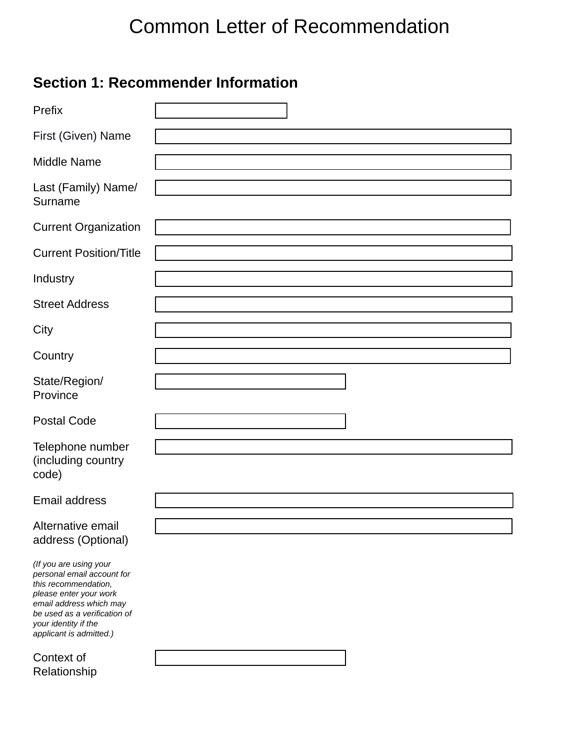# Common Letter of Recommendation

# **Section 1: Recommender Information**

| Prefix                                                                                                                                                                                                               | $\mathbf{r}$                |
|----------------------------------------------------------------------------------------------------------------------------------------------------------------------------------------------------------------------|-----------------------------|
| First (Given) Name                                                                                                                                                                                                   |                             |
| <b>Middle Name</b>                                                                                                                                                                                                   |                             |
| Last (Family) Name/<br>Surname                                                                                                                                                                                       |                             |
| <b>Current Organization</b>                                                                                                                                                                                          |                             |
| <b>Current Position/Title</b>                                                                                                                                                                                        |                             |
| Industry                                                                                                                                                                                                             | $\left  \cdot \right $      |
| <b>Street Address</b>                                                                                                                                                                                                |                             |
| City                                                                                                                                                                                                                 |                             |
| Country                                                                                                                                                                                                              | $\vert \mathbf{v} \vert$    |
| State/Region/<br>Province                                                                                                                                                                                            |                             |
| <b>Postal Code</b>                                                                                                                                                                                                   |                             |
| Telephone number<br>(including country<br>code)                                                                                                                                                                      |                             |
| <b>Email address</b>                                                                                                                                                                                                 |                             |
| Alternative email<br>address (Optional)                                                                                                                                                                              |                             |
| (If you are using your<br>personal email account for<br>this recommendation,<br>please enter your work<br>email address which may<br>be used as a verification of<br>your identity if the<br>applicant is admitted.) |                             |
| Context of<br>Relationship                                                                                                                                                                                           | $\left  \mathbf{v} \right $ |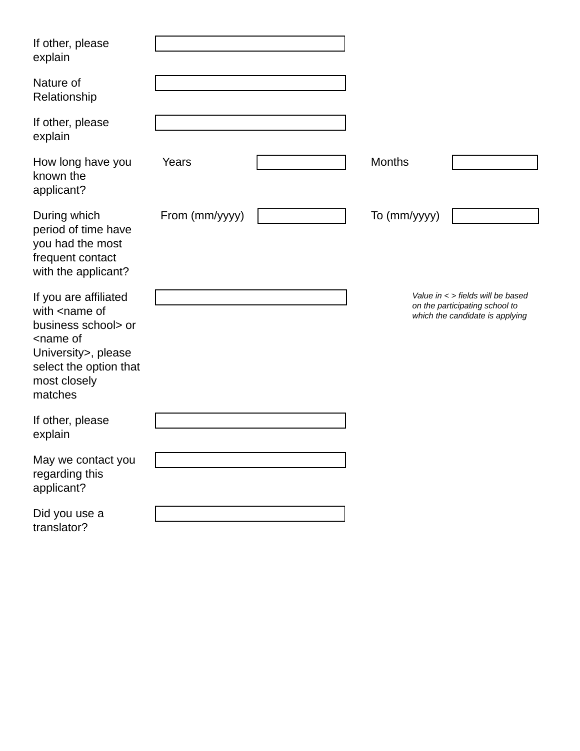| If other, please<br>explain                                                                                                                                                         |                |                        |               |                                                                                                            |
|-------------------------------------------------------------------------------------------------------------------------------------------------------------------------------------|----------------|------------------------|---------------|------------------------------------------------------------------------------------------------------------|
| Nature of<br>Relationship                                                                                                                                                           |                | $\vert \vert$          |               |                                                                                                            |
| If other, please<br>explain                                                                                                                                                         |                |                        |               |                                                                                                            |
| How long have you<br>known the<br>applicant?                                                                                                                                        | Years          |                        | <b>Months</b> |                                                                                                            |
| During which<br>period of time have<br>you had the most<br>frequent contact<br>with the applicant?                                                                                  | From (mm/yyyy) |                        | To (mm/yyyy)  |                                                                                                            |
| If you are affiliated<br>with <name of<br="">business school&gt; or<br/><name of<br="">University&gt;, please<br/>select the option that<br/>most closely<br/>matches</name></name> |                | $\left  \cdot \right $ |               | Value in $\lt$ > fields will be based<br>on the participating school to<br>which the candidate is applying |
| If other, please<br>explain                                                                                                                                                         |                |                        |               |                                                                                                            |
| May we contact you<br>regarding this<br>applicant?                                                                                                                                  |                |                        |               |                                                                                                            |
| Did you use a<br>translator?                                                                                                                                                        |                | $\mathbf{r}$           |               |                                                                                                            |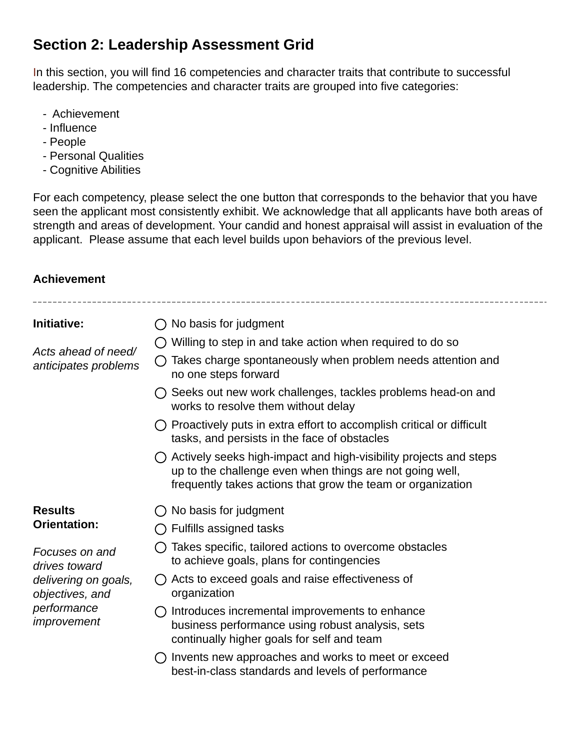# **Section 2: Leadership Assessment Grid**

In this section, you will find 16 competencies and character traits that contribute to successful leadership. The competencies and character traits are grouped into five categories:

- Achievement
- Influence
- People
- Personal Qualities
- Cognitive Abilities

For each competency, please select the one button that corresponds to the behavior that you have seen the applicant most consistently exhibit. We acknowledge that all applicants have both areas of strength and areas of development. Your candid and honest appraisal will assist in evaluation of the applicant. Please assume that each level builds upon behaviors of the previous level.

#### **Achievement**

| Initiative:                                                                                              | No basis for judgment                                                                                                                                                                        |
|----------------------------------------------------------------------------------------------------------|----------------------------------------------------------------------------------------------------------------------------------------------------------------------------------------------|
| Acts ahead of need/<br>anticipates problems                                                              | Willing to step in and take action when required to do so                                                                                                                                    |
|                                                                                                          | Takes charge spontaneously when problem needs attention and<br>no one steps forward                                                                                                          |
|                                                                                                          | Seeks out new work challenges, tackles problems head-on and<br>works to resolve them without delay                                                                                           |
|                                                                                                          | $\bigcirc$ Proactively puts in extra effort to accomplish critical or difficult<br>tasks, and persists in the face of obstacles                                                              |
|                                                                                                          | Actively seeks high-impact and high-visibility projects and steps<br>up to the challenge even when things are not going well,<br>frequently takes actions that grow the team or organization |
| <b>Results</b><br><b>Orientation:</b>                                                                    | No basis for judgment                                                                                                                                                                        |
|                                                                                                          | Fulfills assigned tasks                                                                                                                                                                      |
| Focuses on and<br>drives toward<br>delivering on goals,<br>objectives, and<br>performance<br>improvement | Takes specific, tailored actions to overcome obstacles<br>to achieve goals, plans for contingencies                                                                                          |
|                                                                                                          | Acts to exceed goals and raise effectiveness of<br>organization                                                                                                                              |
|                                                                                                          | Introduces incremental improvements to enhance<br>business performance using robust analysis, sets<br>continually higher goals for self and team                                             |
|                                                                                                          | Invents new approaches and works to meet or exceed<br>best-in-class standards and levels of performance                                                                                      |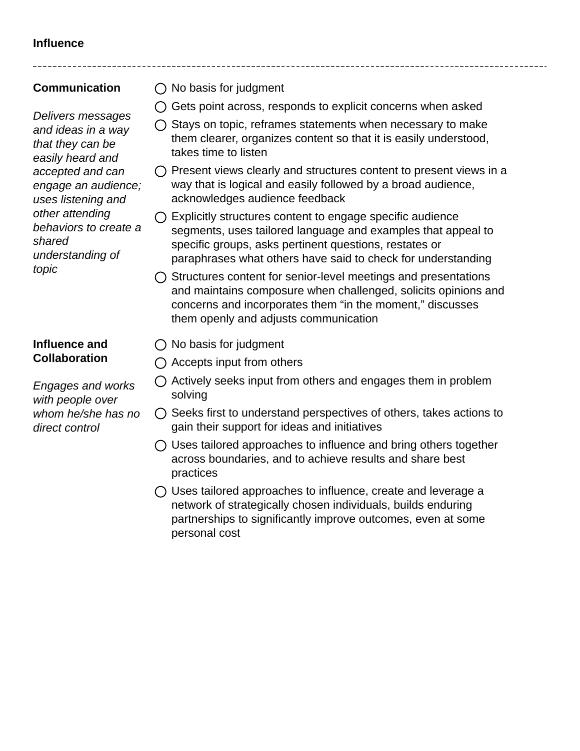### **Influence**

### **Communication**

*Delivers messages and ideas in a way that they can be easily heard and accepted and can engage an audience; uses listening and other attending behaviors to create a shared understanding of topic* 

#### **Influence and Collaboration**

*Engages and works with people over whom he/she has no direct control* 

- $\bigcap$  No basis for judgment
- $\bigcap$  Gets point across, responds to explicit concerns when asked
- $\bigcirc$  Stays on topic, reframes statements when necessary to make them clearer, organizes content so that it is easily understood, takes time to listen
- $\bigcirc$  Present views clearly and structures content to present views in a way that is logical and easily followed by a broad audience, acknowledges audience feedback
- $\bigcap$  Explicitly structures content to engage specific audience segments, uses tailored language and examples that appeal to specific groups, asks pertinent questions, restates or paraphrases what others have said to check for understanding
- $\bigcirc$  Structures content for senior-level meetings and presentations and maintains composure when challenged, solicits opinions and concerns and incorporates them "in the moment," discusses them openly and adjusts communication
- $\bigcap$  No basis for judgment
- $\bigcap$  Accepts input from others
- $\bigcap$  Actively seeks input from others and engages them in problem solving
- $\bigcirc$  Seeks first to understand perspectives of others, takes actions to gain their support for ideas and initiatives
- $\bigcirc$  Uses tailored approaches to influence and bring others together across boundaries, and to achieve results and share best practices
- $\bigcirc$  Uses tailored approaches to influence, create and leverage a network of strategically chosen individuals, builds enduring partnerships to significantly improve outcomes, even at some personal cost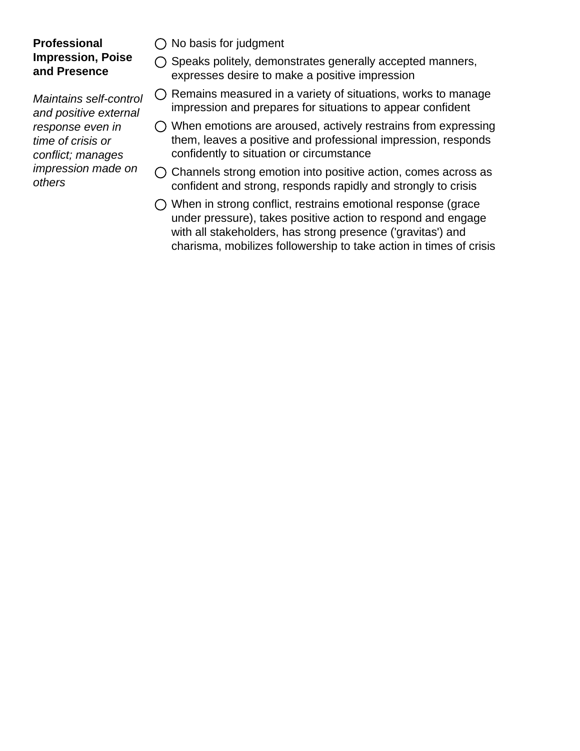#### **Professional Impression, Poise and Presence**

*Maintains self-control and positive external response even in time of crisis or conflict; manages impression made on others*

- $\bigcirc$  No basis for judgment
- $\bigcirc$  Speaks politely, demonstrates generally accepted manners, expresses desire to make a positive impression
- $\bigcirc$  Remains measured in a variety of situations, works to manage impression and prepares for situations to appear confident
- $\bigcirc$  When emotions are aroused, actively restrains from expressing them, leaves a positive and professional impression, responds confidently to situation or circumstance
- $\bigcirc$  Channels strong emotion into positive action, comes across as confident and strong, responds rapidly and strongly to crisis
- When in strong conflict, restrains emotional response (grace under pressure), takes positive action to respond and engage with all stakeholders, has strong presence ('gravitas') and charisma, mobilizes followership to take action in times of crisis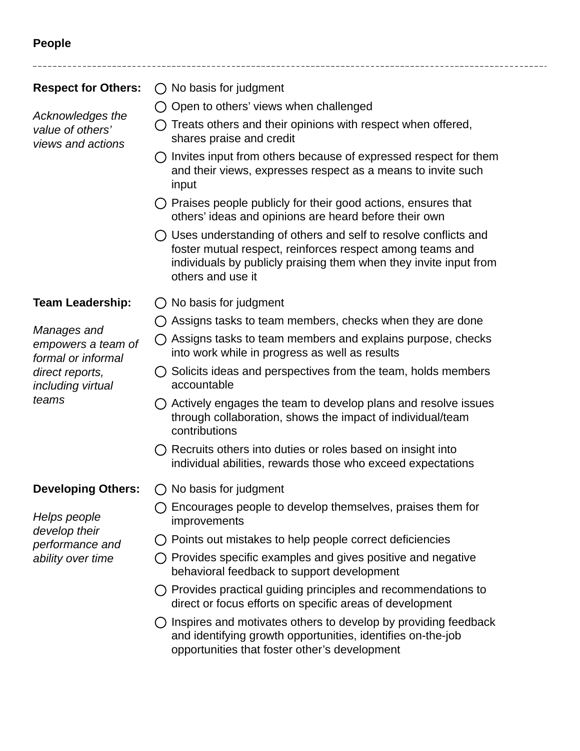# **People**

**Respect for Others:**  *Acknowledges the value of others' views and actions*  $\bigcap$  No basis for judgment  $\bigcirc$  Open to others' views when challenged  $\bigcap$  Treats others and their opinions with respect when offered, shares praise and credit  $\bigcap$  Invites input from others because of expressed respect for them and their views, expresses respect as a means to invite such input  $\bigcirc$  Praises people publicly for their good actions, ensures that others' ideas and opinions are heard before their own Uses understanding of others and self to resolve conflicts and foster mutual respect, reinforces respect among teams and individuals by publicly praising them when they invite input from others and use it **Team Leadership:** *Manages and empowers a team of formal or informal direct reports, including virtual teams*  $\bigcap$  No basis for judgment  $\bigcirc$  Assigns tasks to team members, checks when they are done  $\bigcirc$  Assigns tasks to team members and explains purpose, checks into work while in progress as well as results  $\bigcirc$  Solicits ideas and perspectives from the team, holds members accountable  $\bigcirc$  Actively engages the team to develop plans and resolve issues through collaboration, shows the impact of individual/team contributions  $\bigcap$  Recruits others into duties or roles based on insight into individual abilities, rewards those who exceed expectations **Developing Others:** *Helps people develop their performance and ability over time*  $\bigcirc$  No basis for judgment  $\bigcap$  Encourages people to develop themselves, praises them for improvements  $\bigcap$  Points out mistakes to help people correct deficiencies  $\bigcirc$  Provides specific examples and gives positive and negative behavioral feedback to support development  $\bigcap$  Provides practical quiding principles and recommendations to direct or focus efforts on specific areas of development  $\bigcap$  Inspires and motivates others to develop by providing feedback and identifying growth opportunities, identifies on-the-job opportunities that foster other's development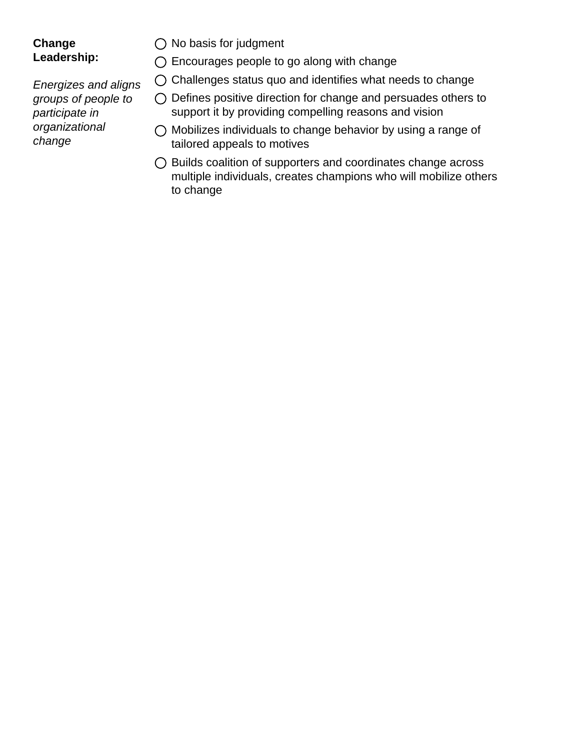### **Change Leadership:**

*Energizes and aligns groups of people to participate in organizational change*

 $\bigcirc$  No basis for judgment

Encourages people to go along with change

- $\bigcirc$  Challenges status quo and identifies what needs to change
- Defines positive direction for change and persuades others to support it by providing compelling reasons and vision
- $\bigcirc$  Mobilizes individuals to change behavior by using a range of tailored appeals to motives
- Builds coalition of supporters and coordinates change across multiple individuals, creates champions who will mobilize others to change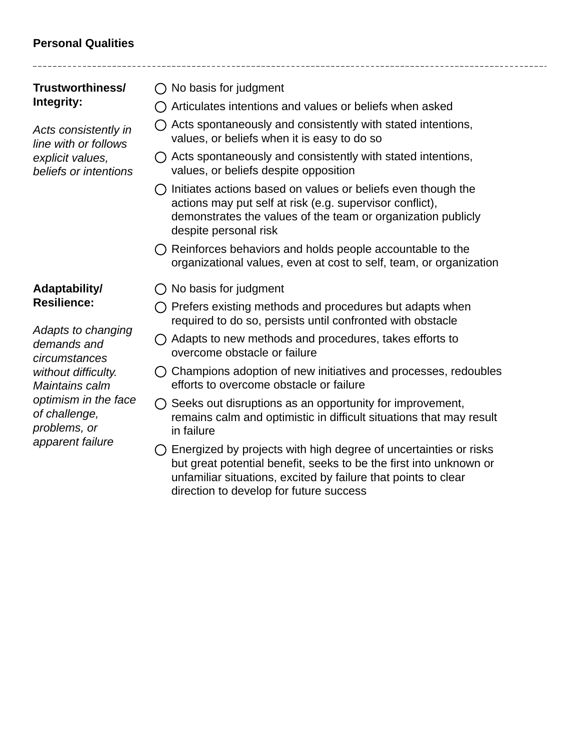# **Personal Qualities**

*without difficulty. Maintains calm* 

*of challenge, problems, or apparent failure*

*optimism in the face* 

| Trustworthiness/<br>Integrity:                                                            | No basis for judgment                                                                                                                                                                                             |
|-------------------------------------------------------------------------------------------|-------------------------------------------------------------------------------------------------------------------------------------------------------------------------------------------------------------------|
|                                                                                           | Articulates intentions and values or beliefs when asked                                                                                                                                                           |
| Acts consistently in<br>line with or follows<br>explicit values,<br>beliefs or intentions | Acts spontaneously and consistently with stated intentions,<br>values, or beliefs when it is easy to do so                                                                                                        |
|                                                                                           | $\bigcirc$ Acts spontaneously and consistently with stated intentions,<br>values, or beliefs despite opposition                                                                                                   |
|                                                                                           | Initiates actions based on values or beliefs even though the<br>actions may put self at risk (e.g. supervisor conflict),<br>demonstrates the values of the team or organization publicly<br>despite personal risk |
|                                                                                           | $\bigcirc$ Reinforces behaviors and holds people accountable to the<br>organizational values, even at cost to self, team, or organization                                                                         |
| Adaptability/<br><b>Resilience:</b><br>Adapts to changing<br>demands and<br>circumstances | $\bigcirc$ No basis for judgment                                                                                                                                                                                  |
|                                                                                           | Prefers existing methods and procedures but adapts when<br>required to do so, persists until confronted with obstacle                                                                                             |
|                                                                                           | Adapts to new methods and procedures, takes efforts to<br>overcome obstacle or failure                                                                                                                            |

- $\bigcirc$  Champions adoption of new initiatives and processes, redoubles efforts to overcome obstacle or failure
- $\bigcirc$  Seeks out disruptions as an opportunity for improvement, remains calm and optimistic in difficult situations that may result in failure
- $\bigcirc$  Energized by projects with high degree of uncertainties or risks but great potential benefit, seeks to be the first into unknown or unfamiliar situations, excited by failure that points to clear direction to develop for future success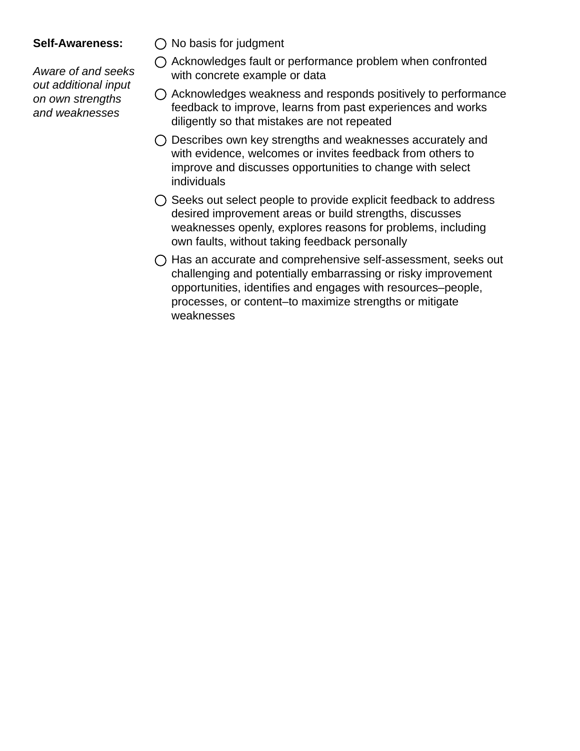#### **Self-Awareness:**

*Aware of and seeks out additional input on own strengths and weaknesses*

- $\bigcirc$  No basis for judgment
- $\bigcirc$  Acknowledges fault or performance problem when confronted with concrete example or data
- $\bigcirc$  Acknowledges weakness and responds positively to performance feedback to improve, learns from past experiences and works diligently so that mistakes are not repeated
- $\bigcirc$  Describes own key strengths and weaknesses accurately and with evidence, welcomes or invites feedback from others to improve and discusses opportunities to change with select individuals
- $\bigcirc$  Seeks out select people to provide explicit feedback to address desired improvement areas or build strengths, discusses weaknesses openly, explores reasons for problems, including own faults, without taking feedback personally
- $\bigcirc$  Has an accurate and comprehensive self-assessment, seeks out challenging and potentially embarrassing or risky improvement opportunities, identifies and engages with resources–people, processes, or content–to maximize strengths or mitigate weaknesses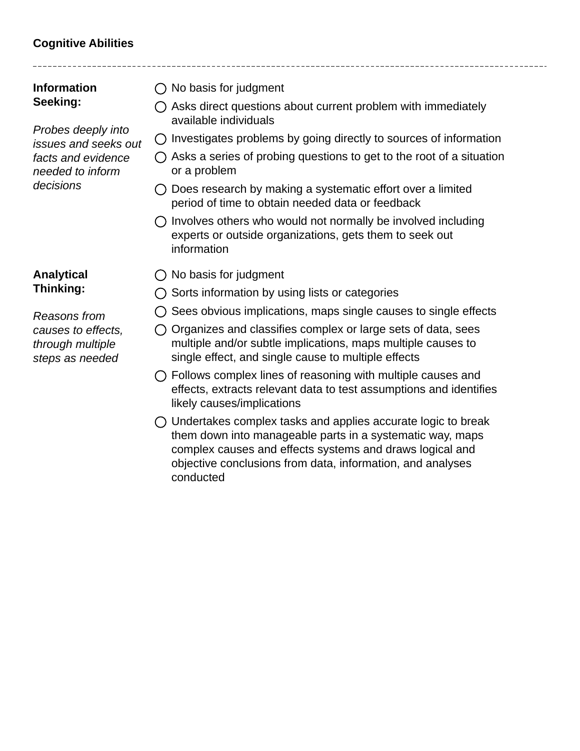# **Cognitive Abilities**

| <b>Information</b>   | $\bigcap$ No basis for judgment                                              |
|----------------------|------------------------------------------------------------------------------|
| Seeking:             | $\bigcirc$ Asks direct questions about current problem with immediately      |
| Probes deeply into   | available individuals                                                        |
| issues and seeks out | $\bigcirc$ Investigates problems by going directly to sources of information |
| facts and evidence   | $\bigcap$ Asks a series of probing questions to get to the root of a situal  |
| needed to inform     | or a problem                                                                 |
| decisions            | $\bigcap$ Does research by making a systematic effort over a limited         |

- $\bigcirc$  Does research by making a systematic effort over a limited period of time to obtain needed data or feedback
- $\bigcirc$  Involves others who would not normally be involved including experts or outside organizations, gets them to seek out information
- **Analytical Thinking:**

*Reasons from causes to effects, through multiple steps as needed*

of a situation

information

- 
- $\bigcirc$  No basis for judgment
- $\bigcirc$  Sorts information by using lists or categories
- $\bigcirc$  Sees obvious implications, maps single causes to single effects
- $\bigcirc$  Organizes and classifies complex or large sets of data, sees multiple and/or subtle implications, maps multiple causes to single effect, and single cause to multiple effects
- Follows complex lines of reasoning with multiple causes and effects, extracts relevant data to test assumptions and identifies likely causes/implications
- $\bigcirc$  Undertakes complex tasks and applies accurate logic to break them down into manageable parts in a systematic way, maps complex causes and effects systems and draws logical and objective conclusions from data, information, and analyses conducted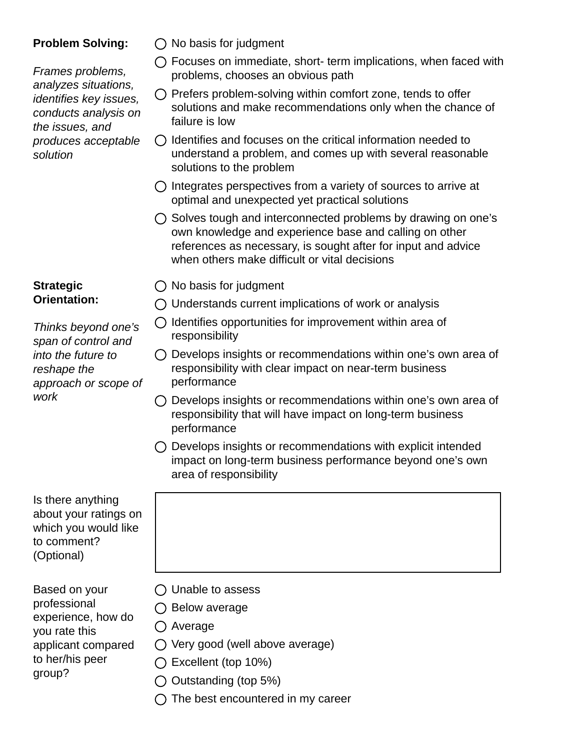#### **Problem Solving:**

*Frames problems, analyzes situations, identifies key issues, conducts analysis on the issues, and produces acceptable solution*

#### **Strategic Orientation:**

*Thinks beyond one's span of control and into the future to reshape the approach or scope of work*

Is there anything about your ratings on which you would like to comment? (Optional)

Based on your professional experience, how do you rate this applicant compared to her/his peer group?

- $\bigcirc$  No basis for judgment
- Focuses on immediate, short- term implications, when faced with problems, chooses an obvious path
- $\bigcirc$  Prefers problem-solving within comfort zone, tends to offer solutions and make recommendations only when the chance of failure is low
- $\bigcirc$  Identifies and focuses on the critical information needed to understand a problem, and comes up with several reasonable solutions to the problem
- $\bigcirc$  Integrates perspectives from a variety of sources to arrive at optimal and unexpected yet practical solutions
- $\bigcirc$  Solves tough and interconnected problems by drawing on one's own knowledge and experience base and calling on other references as necessary, is sought after for input and advice when others make difficult or vital decisions
- $\bigcirc$  No basis for judgment
- $\bigcirc$  Understands current implications of work or analysis
- $\bigcirc$  Identifies opportunities for improvement within area of responsibility
- $\bigcirc$  Develops insights or recommendations within one's own area of responsibility with clear impact on near-term business performance
- $\bigcirc$  Develops insights or recommendations within one's own area of responsibility that will have impact on long-term business performance
- $\bigcirc$  Develops insights or recommendations with explicit intended impact on long-term business performance beyond one's own area of responsibility

- $\bigcirc$  Unable to assess
- $\bigcirc$  Below average
- ◯ Average
- $\bigcirc$  Very good (well above average)
- $\bigcap$  Excellent (top 10%)
- $\bigcirc$  Outstanding (top 5%)
- $\bigcap$  The best encountered in my career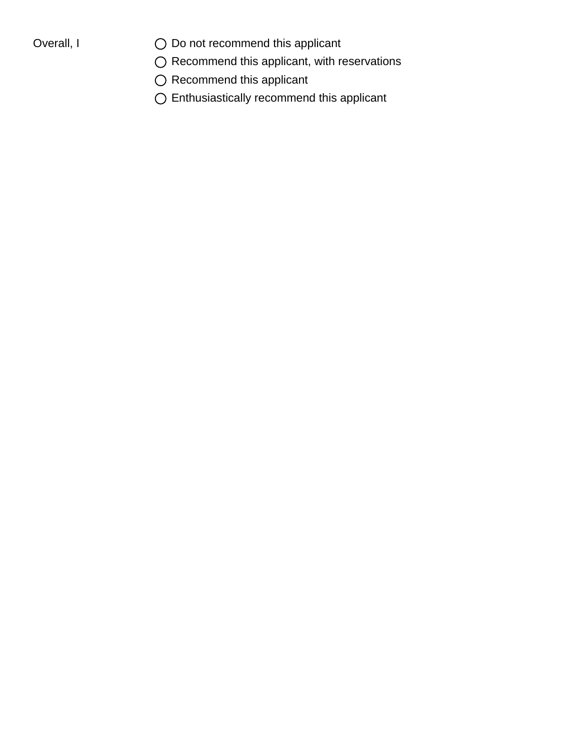- Overall,  $I$   $O$  Do not recommend this applicant
	- $\bigcirc$  Recommend this applicant, with reservations
	- $\bigcirc$  Recommend this applicant
	- $\bigcirc$  Enthusiastically recommend this applicant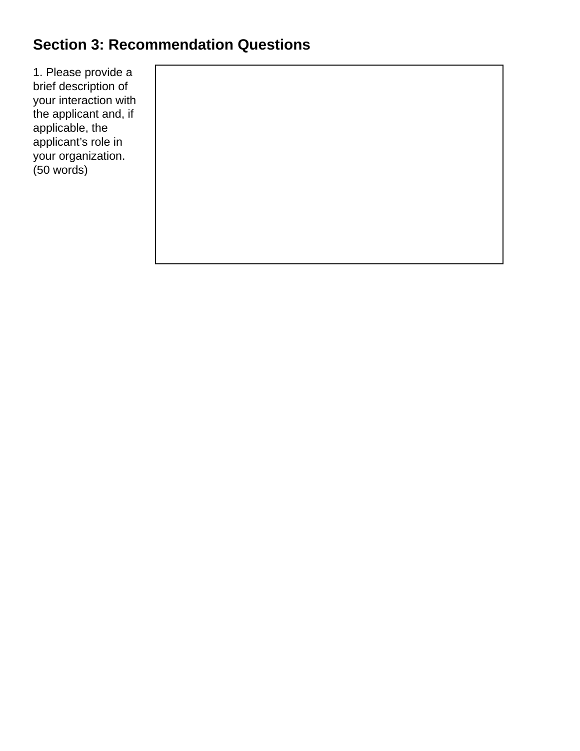# **Section 3: Recommendation Questions**

1. Please provide a brief description of your interaction with the applicant and, if applicable, the applicant's role in your organization. (50 words)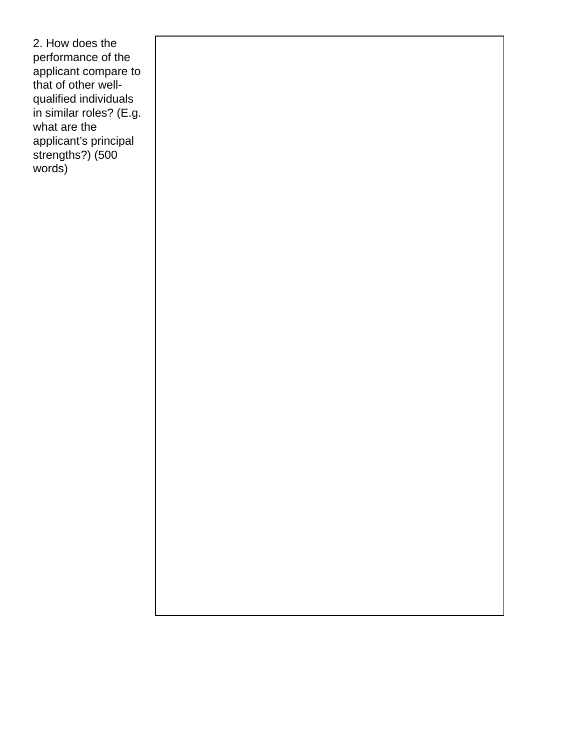2. How does the performance of the applicant compare to that of other wellqualified individuals in similar roles? (E.g. what are the applicant's principal strengths?) (500 words)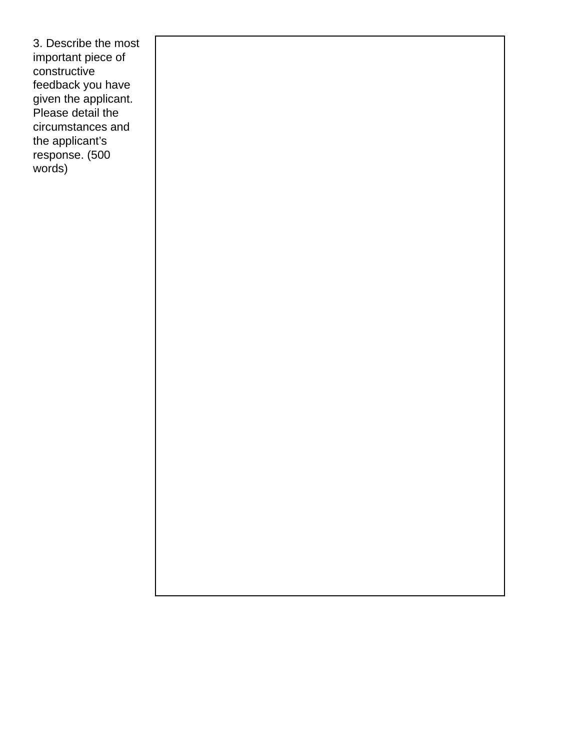3. Describe the most important piece of constructive feedback you have given the applicant. Please detail the circumstances and the applicant's response. (500 words)